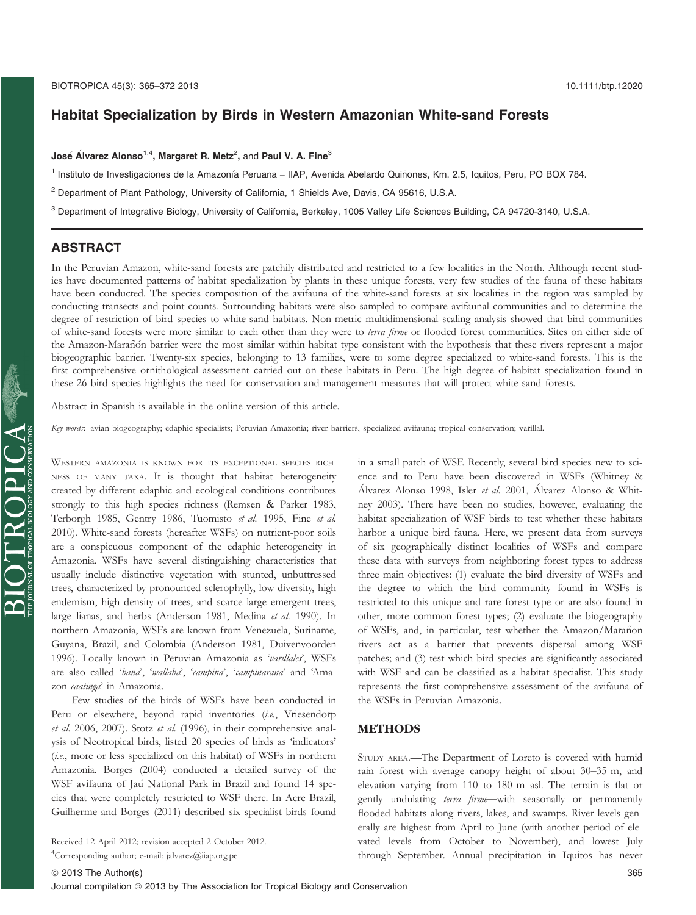# Habitat Specialization by Birds in Western Amazonian White-sand Forests

#### José Álvarez Alonso $^{1,4}$ , Margaret R. Metz $^2$ , and Paul V. A. Fine $^3$

<sup>1</sup> Instituto de Investigaciones de la Amazonía Peruana – IIAP, Avenida Abelardo Quiñones, Km. 2.5, Iquitos, Peru, PO BOX 784.

<sup>2</sup> Department of Plant Pathology, University of California, 1 Shields Ave, Davis, CA 95616, U.S.A.

<sup>3</sup> Department of Integrative Biology, University of California, Berkeley, 1005 Valley Life Sciences Building, CA 94720-3140, U.S.A.

### ABSTRACT

 $\operatorname{BIOTROPL} \left( \bigcup_{\text{nonconvex process}} \operatorname{DIOR} \right)$ 

In the Peruvian Amazon, white-sand forests are patchily distributed and restricted to a few localities in the North. Although recent studies have documented patterns of habitat specialization by plants in these unique forests, very few studies of the fauna of these habitats have been conducted. The species composition of the avifauna of the white-sand forests at six localities in the region was sampled by conducting transects and point counts. Surrounding habitats were also sampled to compare avifaunal communities and to determine the degree of restriction of bird species to white-sand habitats. Non-metric multidimensional scaling analysis showed that bird communities of white-sand forests were more similar to each other than they were to terra firme or flooded forest communities. Sites on either side of the Amazon-Marañón barrier were the most similar within habitat type consistent with the hypothesis that these rivers represent a major biogeographic barrier. Twenty-six species, belonging to 13 families, were to some degree specialized to white-sand forests. This is the first comprehensive ornithological assessment carried out on these habitats in Peru. The high degree of habitat specialization found in these 26 bird species highlights the need for conservation and management measures that will protect white-sand forests.

Abstract in Spanish is available in the online version of this article.

Key words: avian biogeography; edaphic specialists; Peruvian Amazonia; river barriers, specialized avifauna; tropical conservation; varillal.

WESTERN AMAZONIA IS KNOWN FOR ITS EXCEPTIONAL SPECIES RICH-NESS OF MANY TAXA. It is thought that habitat heterogeneity created by different edaphic and ecological conditions contributes strongly to this high species richness (Remsen & Parker 1983, Terborgh 1985, Gentry 1986, Tuomisto et al. 1995, Fine et al. 2010). White-sand forests (hereafter WSFs) on nutrient-poor soils are a conspicuous component of the edaphic heterogeneity in Amazonia. WSFs have several distinguishing characteristics that usually include distinctive vegetation with stunted, unbuttressed trees, characterized by pronounced sclerophylly, low diversity, high endemism, high density of trees, and scarce large emergent trees, large lianas, and herbs (Anderson 1981, Medina et al. 1990). In northern Amazonia, WSFs are known from Venezuela, Suriname, Guyana, Brazil, and Colombia (Anderson 1981, Duivenvoorden 1996). Locally known in Peruvian Amazonia as 'varillales', WSFs are also called 'bana', 'wallaba', 'campina', 'campinarana' and 'Amazon caatinga' in Amazonia.

Few studies of the birds of WSFs have been conducted in Peru or elsewhere, beyond rapid inventories (i.e., Vriesendorp et al. 2006, 2007). Stotz et al. (1996), in their comprehensive analysis of Neotropical birds, listed 20 species of birds as 'indicators' (i.e., more or less specialized on this habitat) of WSFs in northern Amazonia. Borges (2004) conducted a detailed survey of the WSF avifauna of Jau National Park in Brazil and found 14 species that were completely restricted to WSF there. In Acre Brazil, Guilherme and Borges (2011) described six specialist birds found

Received 12 April 2012; revision accepted 2 October 2012.

4 Corresponding author; e-mail: jalvarez@iiap.org.pe

in a small patch of WSF. Recently, several bird species new to science and to Peru have been discovered in WSFs (Whitney & Alvarez Alonso 1998, Isler et al. 2001, Alvarez Alonso & Whit ney 2003). There have been no studies, however, evaluating the habitat specialization of WSF birds to test whether these habitats harbor a unique bird fauna. Here, we present data from surveys of six geographically distinct localities of WSFs and compare these data with surveys from neighboring forest types to address three main objectives: (1) evaluate the bird diversity of WSFs and the degree to which the bird community found in WSFs is restricted to this unique and rare forest type or are also found in other, more common forest types; (2) evaluate the biogeography of WSFs, and, in particular, test whether the Amazon/Marañon rivers act as a barrier that prevents dispersal among WSF patches; and (3) test which bird species are significantly associated with WSF and can be classified as a habitat specialist. This study represents the first comprehensive assessment of the avifauna of the WSFs in Peruvian Amazonia.

### METHODS

STUDY AREA.—The Department of Loreto is covered with humid rain forest with average canopy height of about 30–35 m, and elevation varying from 110 to 180 m asl. The terrain is flat or gently undulating terra firme—with seasonally or permanently flooded habitats along rivers, lakes, and swamps. River levels generally are highest from April to June (with another period of elevated levels from October to November), and lowest July through September. Annual precipitation in Iquitos has never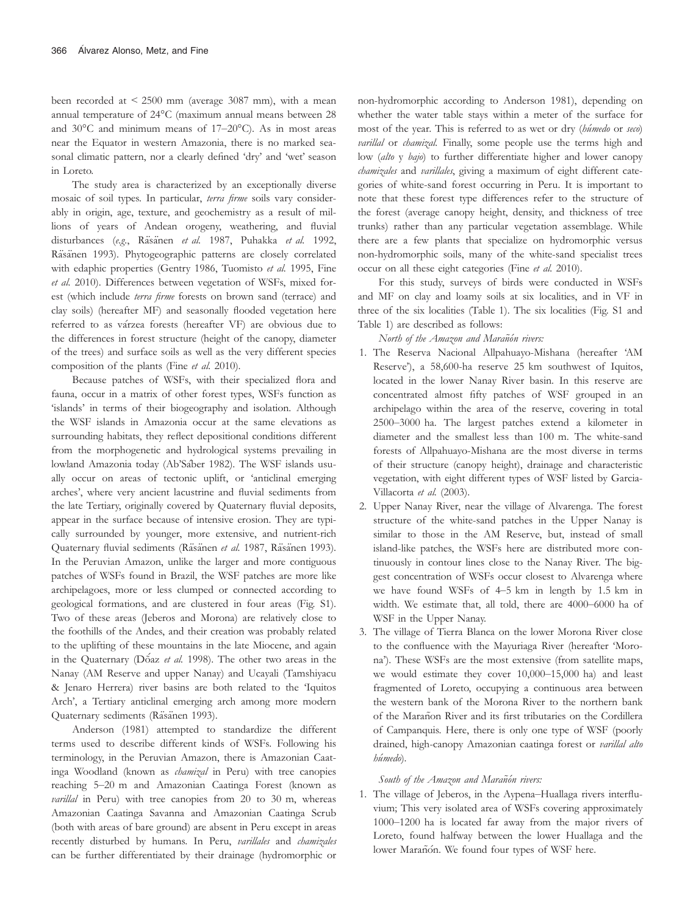been recorded at < 2500 mm (average 3087 mm), with a mean annual temperature of 24°C (maximum annual means between 28 and 30°C and minimum means of 17–20°C). As in most areas near the Equator in western Amazonia, there is no marked seasonal climatic pattern, nor a clearly defined 'dry' and 'wet' season in Loreto.

The study area is characterized by an exceptionally diverse mosaic of soil types. In particular, terra firme soils vary considerably in origin, age, texture, and geochemistry as a result of millions of years of Andean orogeny, weathering, and fluvial disturbances (e.g., Räsänen et al. 1987, Puhakka et al. 1992, Räsänen 1993). Phytogeographic patterns are closely correlated with edaphic properties (Gentry 1986, Tuomisto et al. 1995, Fine et al. 2010). Differences between vegetation of WSFs, mixed forest (which include terra firme forests on brown sand (terrace) and clay soils) (hereafter MF) and seasonally flooded vegetation here referred to as varzea forests (hereafter VF) are obvious due to the differences in forest structure (height of the canopy, diameter of the trees) and surface soils as well as the very different species composition of the plants (Fine et al. 2010).

Because patches of WSFs, with their specialized flora and fauna, occur in a matrix of other forest types, WSFs function as 'islands' in terms of their biogeography and isolation. Although the WSF islands in Amazonia occur at the same elevations as surrounding habitats, they reflect depositional conditions different from the morphogenetic and hydrological systems prevailing in lowland Amazonia today (Ab'Saber 1982). The WSF islands usually occur on areas of tectonic uplift, or 'anticlinal emerging arches', where very ancient lacustrine and fluvial sediments from the late Tertiary, originally covered by Quaternary fluvial deposits, appear in the surface because of intensive erosion. They are typically surrounded by younger, more extensive, and nutrient-rich Quaternary fluvial sediments (Räsänen et al. 1987, Räsänen 1993). In the Peruvian Amazon, unlike the larger and more contiguous patches of WSFs found in Brazil, the WSF patches are more like archipelagoes, more or less clumped or connected according to geological formations, and are clustered in four areas (Fig. S1). Two of these areas (Jeberos and Morona) are relatively close to the foothills of the Andes, and their creation was probably related to the uplifting of these mountains in the late Miocene, and again in the Quaternary (Dõaz et al. 1998). The other two areas in the Nanay (AM Reserve and upper Nanay) and Ucayali (Tamshiyacu & Jenaro Herrera) river basins are both related to the 'Iquitos Arch', a Tertiary anticlinal emerging arch among more modern Quaternary sediments (Räsänen 1993).

Anderson (1981) attempted to standardize the different terms used to describe different kinds of WSFs. Following his terminology, in the Peruvian Amazon, there is Amazonian Caatinga Woodland (known as *chamizal* in Peru) with tree canopies reaching 5–20 m and Amazonian Caatinga Forest (known as varillal in Peru) with tree canopies from 20 to 30 m, whereas Amazonian Caatinga Savanna and Amazonian Caatinga Scrub (both with areas of bare ground) are absent in Peru except in areas recently disturbed by humans. In Peru, varillales and chamizales can be further differentiated by their drainage (hydromorphic or

non-hydromorphic according to Anderson 1981), depending on whether the water table stays within a meter of the surface for most of the year. This is referred to as wet or dry (húmedo or seco) varillal or chamizal. Finally, some people use the terms high and low (alto y bajo) to further differentiate higher and lower canopy chamizales and varillales, giving a maximum of eight different categories of white-sand forest occurring in Peru. It is important to note that these forest type differences refer to the structure of the forest (average canopy height, density, and thickness of tree trunks) rather than any particular vegetation assemblage. While there are a few plants that specialize on hydromorphic versus non-hydromorphic soils, many of the white-sand specialist trees occur on all these eight categories (Fine et al. 2010).

For this study, surveys of birds were conducted in WSFs and MF on clay and loamy soils at six localities, and in VF in three of the six localities (Table 1). The six localities (Fig. S1 and Table 1) are described as follows:

North of the Amazon and Marañón rivers:

- 1. The Reserva Nacional Allpahuayo-Mishana (hereafter 'AM Reserve'), a 58,600-ha reserve 25 km southwest of Iquitos, located in the lower Nanay River basin. In this reserve are concentrated almost fifty patches of WSF grouped in an archipelago within the area of the reserve, covering in total 2500–3000 ha. The largest patches extend a kilometer in diameter and the smallest less than 100 m. The white-sand forests of Allpahuayo-Mishana are the most diverse in terms of their structure (canopy height), drainage and characteristic vegetation, with eight different types of WSF listed by Garcia-Villacorta et al. (2003).
- 2. Upper Nanay River, near the village of Alvarenga. The forest structure of the white-sand patches in the Upper Nanay is similar to those in the AM Reserve, but, instead of small island-like patches, the WSFs here are distributed more continuously in contour lines close to the Nanay River. The biggest concentration of WSFs occur closest to Alvarenga where we have found WSFs of 4–5 km in length by 1.5 km in width. We estimate that, all told, there are 4000–6000 ha of WSF in the Upper Nanay.
- 3. The village of Tierra Blanca on the lower Morona River close to the confluence with the Mayuriaga River (hereafter 'Morona'). These WSFs are the most extensive (from satellite maps, we would estimate they cover 10,000–15,000 ha) and least fragmented of Loreto, occupying a continuous area between the western bank of the Morona River to the northern bank of the Marañon River and its first tributaries on the Cordillera of Campanquis. Here, there is only one type of WSF (poorly drained, high-canopy Amazonian caatinga forest or varillal alto húmedo).

#### South of the Amazon and Marañón rivers:

1. The village of Jeberos, in the Aypena–Huallaga rivers interfluvium; This very isolated area of WSFs covering approximately 1000–1200 ha is located far away from the major rivers of Loreto, found halfway between the lower Huallaga and the lower Marañón. We found four types of WSF here.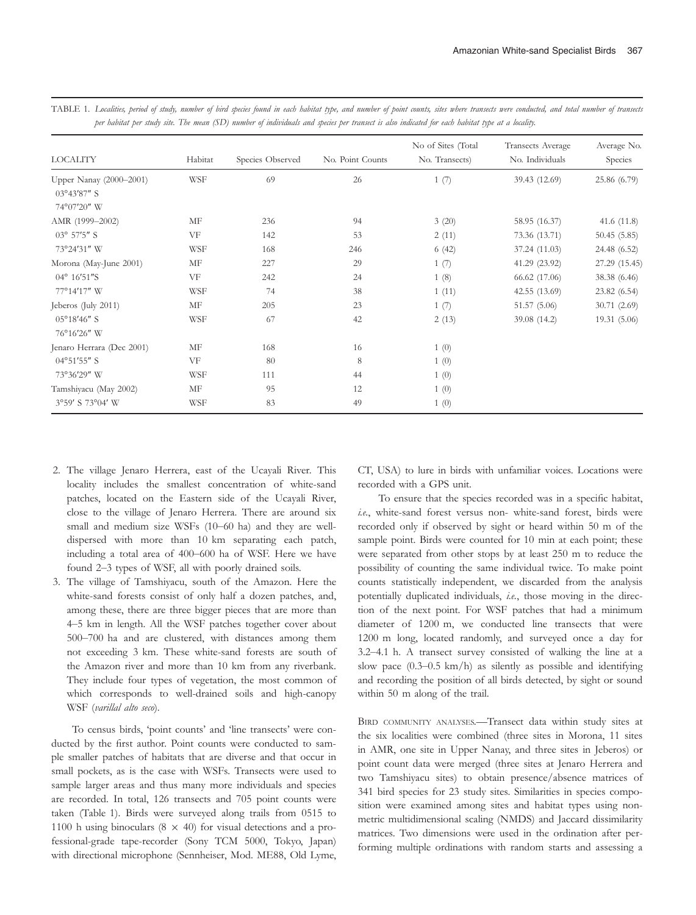| <b>LOCALITY</b>                                                 | Habitat    | Species Observed | No. Point Counts | No of Sites (Total<br>No. Transects) | Transects Average<br>No. Individuals | Average No.<br>Species |
|-----------------------------------------------------------------|------------|------------------|------------------|--------------------------------------|--------------------------------------|------------------------|
| Upper Nanay (2000-2001)<br>$03^{\circ}43'87''$ S<br>74°07'20" W | <b>WSF</b> | 69               | 26               | 1(7)                                 | 39.43 (12.69)                        | 25.86 (6.79)           |
| AMR (1999-2002)                                                 | MF         | 236              | 94               | 3(20)                                | 58.95 (16.37)                        | 41.6(11.8)             |
| $03^{\circ}$ 57'5" S                                            | <b>VF</b>  | 142              | 53               | 2(11)                                | 73.36 (13.71)                        | 50.45(5.85)            |
| 73°24'31" W                                                     | <b>WSF</b> | 168              | 246              | 6(42)                                | 37.24 (11.03)                        | 24.48 (6.52)           |
| Morona (May-June 2001)                                          | MF         | 227              | 29               | 1(7)                                 | 41.29 (23.92)                        | 27.29 (15.45)          |
| $04^{\circ} 16'51''S$                                           | <b>VF</b>  | 242              | 24               | 1(8)                                 | 66.62 (17.06)                        | 38.38 (6.46)           |
| 77°14'17" W                                                     | <b>WSF</b> | 74               | 38               | 1(11)                                | 42.55 (13.69)                        | 23.82 (6.54)           |
| Jeberos (July 2011)                                             | MF         | 205              | 23               | 1(7)                                 | 51.57(5.06)                          | 30.71 (2.69)           |
| $05^{\circ}18'46''$ S<br>76°16'26" W                            | WSF        | 67               | 42               | 2(13)                                | 39.08 (14.2)                         | 19.31(5.06)            |
| Jenaro Herrara (Dec 2001)                                       | MF         | 168              | 16               | 1(0)                                 |                                      |                        |
| 04°51'55" S                                                     | VF         | 80               | 8                | 1(0)                                 |                                      |                        |
| 73°36'29" W                                                     | <b>WSF</b> | 111              | 44               | 1(0)                                 |                                      |                        |
| Tamshiyacu (May 2002)                                           | MF         | 95               | 12               | 1(0)                                 |                                      |                        |
| 3°59' S 73°04' W                                                | <b>WSF</b> | 83               | 49               | 1(0)                                 |                                      |                        |

TABLE 1. Localities, period of study, number of bird species found in each habitat type, and number of point counts, sites where transects were conducted, and total number of transects per habitat per study site. The mean (SD) number of individuals and species per transect is also indicated for each habitat type at a locality.

- 2. The village Jenaro Herrera, east of the Ucayali River. This locality includes the smallest concentration of white-sand patches, located on the Eastern side of the Ucayali River, close to the village of Jenaro Herrera. There are around six small and medium size WSFs (10–60 ha) and they are welldispersed with more than 10 km separating each patch, including a total area of 400–600 ha of WSF. Here we have found 2–3 types of WSF, all with poorly drained soils.
- 3. The village of Tamshiyacu, south of the Amazon. Here the white-sand forests consist of only half a dozen patches, and, among these, there are three bigger pieces that are more than 4–5 km in length. All the WSF patches together cover about 500–700 ha and are clustered, with distances among them not exceeding 3 km. These white-sand forests are south of the Amazon river and more than 10 km from any riverbank. They include four types of vegetation, the most common of which corresponds to well-drained soils and high-canopy WSF (varillal alto seco).

To census birds, 'point counts' and 'line transects' were conducted by the first author. Point counts were conducted to sample smaller patches of habitats that are diverse and that occur in small pockets, as is the case with WSFs. Transects were used to sample larger areas and thus many more individuals and species are recorded. In total, 126 transects and 705 point counts were taken (Table 1). Birds were surveyed along trails from 0515 to 1100 h using binoculars (8  $\times$  40) for visual detections and a professional-grade tape-recorder (Sony TCM 5000, Tokyo, Japan) with directional microphone (Sennheiser, Mod. ME88, Old Lyme,

CT, USA) to lure in birds with unfamiliar voices. Locations were recorded with a GPS unit.

To ensure that the species recorded was in a specific habitat, i.e., white-sand forest versus non- white-sand forest, birds were recorded only if observed by sight or heard within 50 m of the sample point. Birds were counted for 10 min at each point; these were separated from other stops by at least 250 m to reduce the possibility of counting the same individual twice. To make point counts statistically independent, we discarded from the analysis potentially duplicated individuals, i.e., those moving in the direction of the next point. For WSF patches that had a minimum diameter of 1200 m, we conducted line transects that were 1200 m long, located randomly, and surveyed once a day for 3.2–4.1 h. A transect survey consisted of walking the line at a slow pace (0.3–0.5 km/h) as silently as possible and identifying and recording the position of all birds detected, by sight or sound within 50 m along of the trail.

BIRD COMMUNITY ANALYSES.—Transect data within study sites at the six localities were combined (three sites in Morona, 11 sites in AMR, one site in Upper Nanay, and three sites in Jeberos) or point count data were merged (three sites at Jenaro Herrera and two Tamshiyacu sites) to obtain presence/absence matrices of 341 bird species for 23 study sites. Similarities in species composition were examined among sites and habitat types using nonmetric multidimensional scaling (NMDS) and Jaccard dissimilarity matrices. Two dimensions were used in the ordination after performing multiple ordinations with random starts and assessing a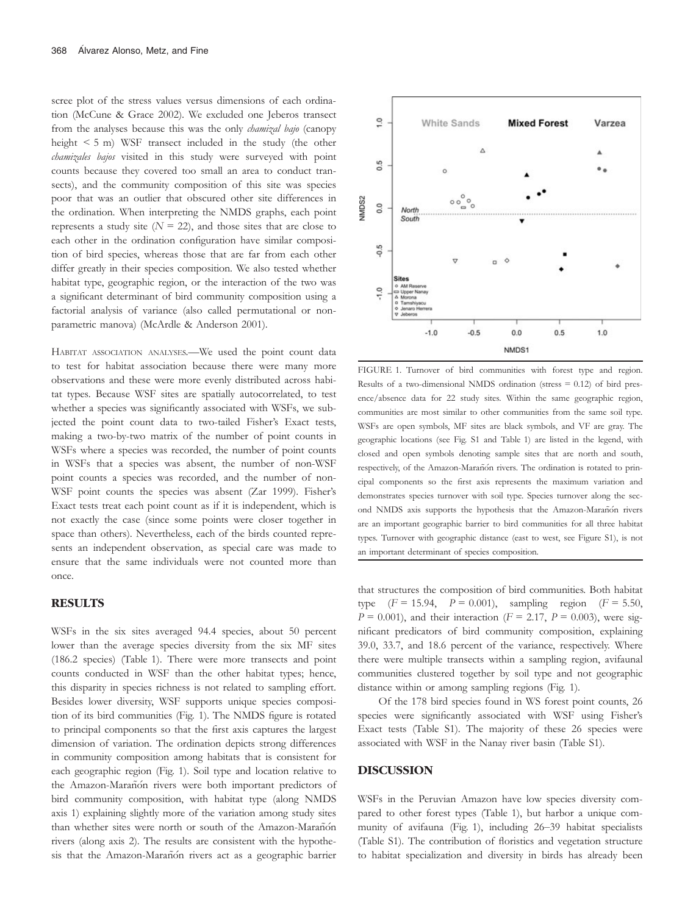scree plot of the stress values versus dimensions of each ordination (McCune & Grace 2002). We excluded one Jeberos transect from the analyses because this was the only *chamizal bajo* (canopy height < 5 m) WSF transect included in the study (the other chamizales bajos visited in this study were surveyed with point counts because they covered too small an area to conduct transects), and the community composition of this site was species poor that was an outlier that obscured other site differences in the ordination. When interpreting the NMDS graphs, each point represents a study site ( $N = 22$ ), and those sites that are close to each other in the ordination configuration have similar composition of bird species, whereas those that are far from each other differ greatly in their species composition. We also tested whether habitat type, geographic region, or the interaction of the two was a significant determinant of bird community composition using a factorial analysis of variance (also called permutational or nonparametric manova) (McArdle & Anderson 2001).

HABITAT ASSOCIATION ANALYSES.—We used the point count data to test for habitat association because there were many more observations and these were more evenly distributed across habitat types. Because WSF sites are spatially autocorrelated, to test whether a species was significantly associated with WSFs, we subjected the point count data to two-tailed Fisher's Exact tests, making a two-by-two matrix of the number of point counts in WSFs where a species was recorded, the number of point counts in WSFs that a species was absent, the number of non-WSF point counts a species was recorded, and the number of non-WSF point counts the species was absent (Zar 1999). Fisher's Exact tests treat each point count as if it is independent, which is not exactly the case (since some points were closer together in space than others). Nevertheless, each of the birds counted represents an independent observation, as special care was made to ensure that the same individuals were not counted more than once.

#### RESULTS

WSFs in the six sites averaged 94.4 species, about 50 percent lower than the average species diversity from the six MF sites (186.2 species) (Table 1). There were more transects and point counts conducted in WSF than the other habitat types; hence, this disparity in species richness is not related to sampling effort. Besides lower diversity, WSF supports unique species composition of its bird communities (Fig. 1). The NMDS figure is rotated to principal components so that the first axis captures the largest dimension of variation. The ordination depicts strong differences in community composition among habitats that is consistent for each geographic region (Fig. 1). Soil type and location relative to the Amazon-Marañón rivers were both important predictors of bird community composition, with habitat type (along NMDS axis 1) explaining slightly more of the variation among study sites than whether sites were north or south of the Amazon-Marañón rivers (along axis 2). The results are consistent with the hypothesis that the Amazon-Marañón rivers act as a geographic barrier



FIGURE 1. Turnover of bird communities with forest type and region. Results of a two-dimensional NMDS ordination (stress  $= 0.12$ ) of bird presence/absence data for 22 study sites. Within the same geographic region, communities are most similar to other communities from the same soil type. WSFs are open symbols, MF sites are black symbols, and VF are gray. The geographic locations (see Fig. S1 and Table 1) are listed in the legend, with closed and open symbols denoting sample sites that are north and south, respectively, of the Amazon-Marañón rivers. The ordination is rotated to principal components so the first axis represents the maximum variation and demonstrates species turnover with soil type. Species turnover along the second NMDS axis supports the hypothesis that the Amazon-Marañón rivers are an important geographic barrier to bird communities for all three habitat types. Turnover with geographic distance (east to west, see Figure S1), is not an important determinant of species composition.

that structures the composition of bird communities. Both habitat type  $(F = 15.94, P = 0.001)$ , sampling region  $(F = 5.50,$  $P = 0.001$ , and their interaction ( $F = 2.17$ ,  $P = 0.003$ ), were significant predicators of bird community composition, explaining 39.0, 33.7, and 18.6 percent of the variance, respectively. Where there were multiple transects within a sampling region, avifaunal communities clustered together by soil type and not geographic distance within or among sampling regions (Fig. 1).

Of the 178 bird species found in WS forest point counts, 26 species were significantly associated with WSF using Fisher's Exact tests (Table S1). The majority of these 26 species were associated with WSF in the Nanay river basin (Table S1).

### DISCUSSION

WSFs in the Peruvian Amazon have low species diversity compared to other forest types (Table 1), but harbor a unique community of avifauna (Fig. 1), including 26–39 habitat specialists (Table S1). The contribution of floristics and vegetation structure to habitat specialization and diversity in birds has already been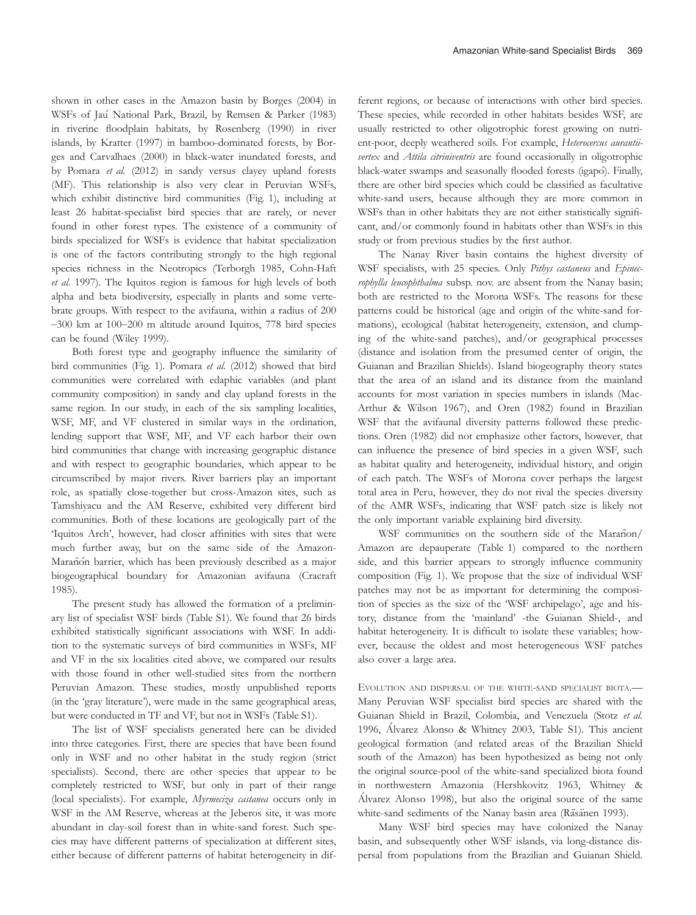shown in other cases in the Amazon basin by Borges (2004) in WSFs of Jau National Park, Brazil, by Remsen & Parker (1983) in riverine floodplain habitats, by Rosenberg (1990) in river islands, by Kratter (1997) in bamboo-dominated forests, by Borges and Carvalhaes (2000) in black-water inundated forests, and by Pomara et al. (2012) in sandy versus clayey upland forests (MF). This relationship is also very clear in Peruvian WSFs, which exhibit distinctive bird communities (Fig. 1), including at least 26 habitat-specialist bird species that are rarely, or never found in other forest types. The existence of a community of birds specialized for WSFs is evidence that habitat specialization is one of the factors contributing strongly to the high regional species richness in the Neotropics (Terborgh 1985, Cohn-Haft et al. 1997). The Iquitos region is famous for high levels of both alpha and beta biodiversity, especially in plants and some vertebrate groups. With respect to the avifauna, within a radius of 200 –300 km at 100–200 m altitude around Iquitos, 778 bird species can be found (Wiley 1999).

Both forest type and geography influence the similarity of bird communities (Fig. 1). Pomara et al. (2012) showed that bird communities were correlated with edaphic variables (and plant community composition) in sandy and clay upland forests in the same region. In our study, in each of the six sampling localities, WSF, MF, and VF clustered in similar ways in the ordination, lending support that WSF, MF, and VF each harbor their own bird communities that change with increasing geographic distance and with respect to geographic boundaries, which appear to be circumscribed by major rivers. River barriers play an important role, as spatially close-together but cross-Amazon sites, such as Tamshiyacu and the AM Reserve, exhibited very different bird communities. Both of these locations are geologically part of the 'Iquitos Arch', however, had closer affinities with sites that were much further away, but on the same side of the Amazon-Marañón barrier, which has been previously described as a major biogeographical boundary for Amazonian avifauna (Cracraft 1985).

The present study has allowed the formation of a preliminary list of specialist WSF birds (Table S1). We found that 26 birds exhibited statistically significant associations with WSF. In addition to the systematic surveys of bird communities in WSFs, MF and VF in the six localities cited above, we compared our results with those found in other well-studied sites from the northern Peruvian Amazon. These studies, mostly unpublished reports (in the 'gray literature'), were made in the same geographical areas, but were conducted in TF and VF, but not in WSFs (Table S1).

The list of WSF specialists generated here can be divided into three categories. First, there are species that have been found only in WSF and no other habitat in the study region (strict specialists). Second, there are other species that appear to be completely restricted to WSF, but only in part of their range (local specialists). For example, Myrmeciza castanea occurs only in WSF in the AM Reserve, whereas at the Jeberos site, it was more abundant in clay-soil forest than in white-sand forest. Such species may have different patterns of specialization at different sites, either because of different patterns of habitat heterogeneity in dif-

ferent regions, or because of interactions with other bird species. These species, while recorded in other habitats besides WSF, are usually restricted to other oligotrophic forest growing on nutrient-poor, deeply weathered soils. For example, Heterocercus aurantiivertex and Attila citriniventris are found occasionally in oligotrophic black-water swamps and seasonally flooded forests (igapo). Finally, there are other bird species which could be classified as facultative white-sand users, because although they are more common in WSFs than in other habitats they are not either statistically significant, and/or commonly found in habitats other than WSFs in this study or from previous studies by the first author.

The Nanay River basin contains the highest diversity of WSF specialists, with 25 species. Only Pithys castaneus and Epinecrophylla leucophthalma subsp. nov. are absent from the Nanay basin; both are restricted to the Morona WSFs. The reasons for these patterns could be historical (age and origin of the white-sand formations), ecological (habitat heterogeneity, extension, and clumping of the white-sand patches), and/or geographical processes (distance and isolation from the presumed center of origin, the Guianan and Brazilian Shields). Island biogeography theory states that the area of an island and its distance from the mainland accounts for most variation in species numbers in islands (Mac-Arthur & Wilson 1967), and Oren (1982) found in Brazilian WSF that the avifaunal diversity patterns followed these predictions. Oren (1982) did not emphasize other factors, however, that can influence the presence of bird species in a given WSF, such as habitat quality and heterogeneity, individual history, and origin of each patch. The WSFs of Morona cover perhaps the largest total area in Peru, however, they do not rival the species diversity of the AMR WSFs, indicating that WSF patch size is likely not the only important variable explaining bird diversity.

WSF communities on the southern side of the Marañon/ Amazon are depauperate (Table 1) compared to the northern side, and this barrier appears to strongly influence community composition (Fig. 1). We propose that the size of individual WSF patches may not be as important for determining the composition of species as the size of the 'WSF archipelago', age and history, distance from the 'mainland' -the Guianan Shield-, and habitat heterogeneity. It is difficult to isolate these variables; however, because the oldest and most heterogeneous WSF patches also cover a large area.

EVOLUTION AND DISPERSAL OF THE WHITE-SAND SPECIALIST BIOTA.— Many Peruvian WSF specialist bird species are shared with the Guianan Shield in Brazil, Colombia, and Venezuela (Stotz et al. 1996, Alvarez Alonso & Whitney 2003, Table S1). This ancient geological formation (and related areas of the Brazilian Shield south of the Amazon) has been hypothesized as being not only the original source-pool of the white-sand specialized biota found in northwestern Amazonia (Hershkovitz 1963, Whitney & Alvarez Alonso 1998), but also the original source of the same white-sand sediments of the Nanay basin area (Räsänen 1993).

Many WSF bird species may have colonized the Nanay basin, and subsequently other WSF islands, via long-distance dispersal from populations from the Brazilian and Guianan Shield.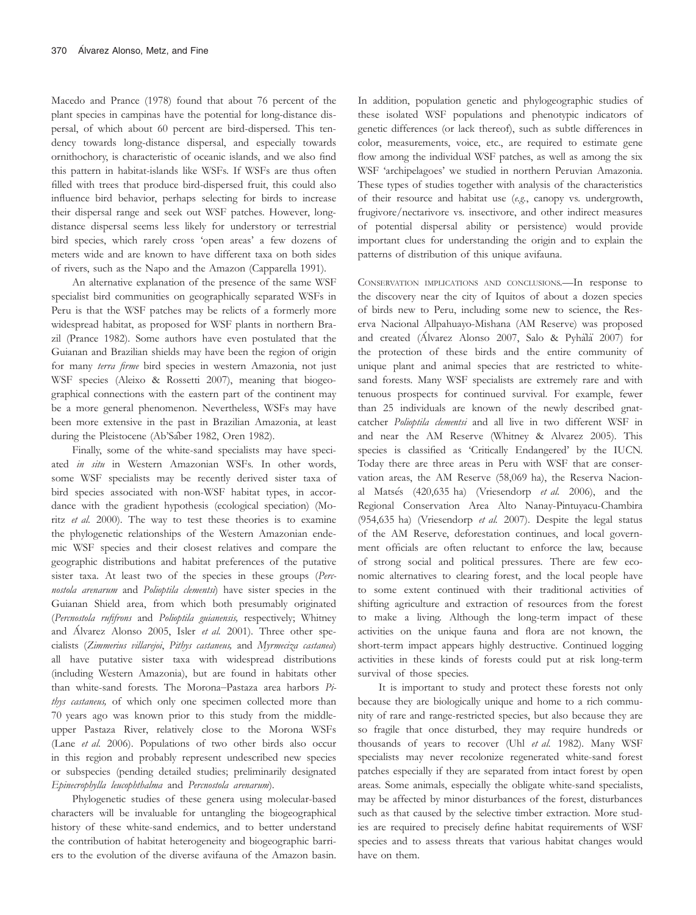Macedo and Prance (1978) found that about 76 percent of the plant species in campinas have the potential for long-distance dispersal, of which about 60 percent are bird-dispersed. This tendency towards long-distance dispersal, and especially towards ornithochory, is characteristic of oceanic islands, and we also find this pattern in habitat-islands like WSFs. If WSFs are thus often filled with trees that produce bird-dispersed fruit, this could also influence bird behavior, perhaps selecting for birds to increase their dispersal range and seek out WSF patches. However, longdistance dispersal seems less likely for understory or terrestrial bird species, which rarely cross 'open areas' a few dozens of meters wide and are known to have different taxa on both sides of rivers, such as the Napo and the Amazon (Capparella 1991).

An alternative explanation of the presence of the same WSF specialist bird communities on geographically separated WSFs in Peru is that the WSF patches may be relicts of a formerly more widespread habitat, as proposed for WSF plants in northern Brazil (Prance 1982). Some authors have even postulated that the Guianan and Brazilian shields may have been the region of origin for many terra firme bird species in western Amazonia, not just WSF species (Aleixo & Rossetti 2007), meaning that biogeographical connections with the eastern part of the continent may be a more general phenomenon. Nevertheless, WSFs may have been more extensive in the past in Brazilian Amazonia, at least during the Pleistocene (Ab'Saber 1982, Oren 1982).

Finally, some of the white-sand specialists may have speciated in situ in Western Amazonian WSFs. In other words, some WSF specialists may be recently derived sister taxa of bird species associated with non-WSF habitat types, in accordance with the gradient hypothesis (ecological speciation) (Moritz et al. 2000). The way to test these theories is to examine the phylogenetic relationships of the Western Amazonian endemic WSF species and their closest relatives and compare the geographic distributions and habitat preferences of the putative sister taxa. At least two of the species in these groups (Percnostola arenarum and Polioptila clementsi) have sister species in the Guianan Shield area, from which both presumably originated (Percnostola rufifrons and Polioptila guianensis, respectively; Whitney and Alvarez Alonso 2005, Isler et al. 2001). Three other specialists (Zimmerius villarejoi, Pithys castaneus, and Myrmeciza castanea) all have putative sister taxa with widespread distributions (including Western Amazonia), but are found in habitats other than white-sand forests. The Morona–Pastaza area harbors Pithys castaneus, of which only one specimen collected more than 70 years ago was known prior to this study from the middleupper Pastaza River, relatively close to the Morona WSFs (Lane et al. 2006). Populations of two other birds also occur in this region and probably represent undescribed new species or subspecies (pending detailed studies; preliminarily designated Epinecrophylla leucophthalma and Percnostola arenarum).

Phylogenetic studies of these genera using molecular-based characters will be invaluable for untangling the biogeographical history of these white-sand endemics, and to better understand the contribution of habitat heterogeneity and biogeographic barriers to the evolution of the diverse avifauna of the Amazon basin.

In addition, population genetic and phylogeographic studies of these isolated WSF populations and phenotypic indicators of genetic differences (or lack thereof), such as subtle differences in color, measurements, voice, etc., are required to estimate gene flow among the individual WSF patches, as well as among the six WSF 'archipelagoes' we studied in northern Peruvian Amazonia. These types of studies together with analysis of the characteristics of their resource and habitat use (e.g., canopy vs. undergrowth, frugivore/nectarivore vs. insectivore, and other indirect measures of potential dispersal ability or persistence) would provide important clues for understanding the origin and to explain the patterns of distribution of this unique avifauna.

CONSERVATION IMPLICATIONS AND CONCLUSIONS.—In response to the discovery near the city of Iquitos of about a dozen species of birds new to Peru, including some new to science, the Reserva Nacional Allpahuayo-Mishana (AM Reserve) was proposed and created (Alvarez Alonso 2007, Salo & Pyhala 2007) for the protection of these birds and the entire community of unique plant and animal species that are restricted to whitesand forests. Many WSF specialists are extremely rare and with tenuous prospects for continued survival. For example, fewer than 25 individuals are known of the newly described gnatcatcher Polioptila clementsi and all live in two different WSF in and near the AM Reserve (Whitney & Alvarez 2005). This species is classified as 'Critically Endangered' by the IUCN. Today there are three areas in Peru with WSF that are conservation areas, the AM Reserve (58,069 ha), the Reserva Nacional Matsés (420,635 ha) (Vriesendorp et al. 2006), and the Regional Conservation Area Alto Nanay-Pintuyacu-Chambira (954,635 ha) (Vriesendorp et al. 2007). Despite the legal status of the AM Reserve, deforestation continues, and local government officials are often reluctant to enforce the law, because of strong social and political pressures. There are few economic alternatives to clearing forest, and the local people have to some extent continued with their traditional activities of shifting agriculture and extraction of resources from the forest to make a living. Although the long-term impact of these activities on the unique fauna and flora are not known, the short-term impact appears highly destructive. Continued logging activities in these kinds of forests could put at risk long-term survival of those species.

It is important to study and protect these forests not only because they are biologically unique and home to a rich community of rare and range-restricted species, but also because they are so fragile that once disturbed, they may require hundreds or thousands of years to recover (Uhl et al. 1982). Many WSF specialists may never recolonize regenerated white-sand forest patches especially if they are separated from intact forest by open areas. Some animals, especially the obligate white-sand specialists, may be affected by minor disturbances of the forest, disturbances such as that caused by the selective timber extraction. More studies are required to precisely define habitat requirements of WSF species and to assess threats that various habitat changes would have on them.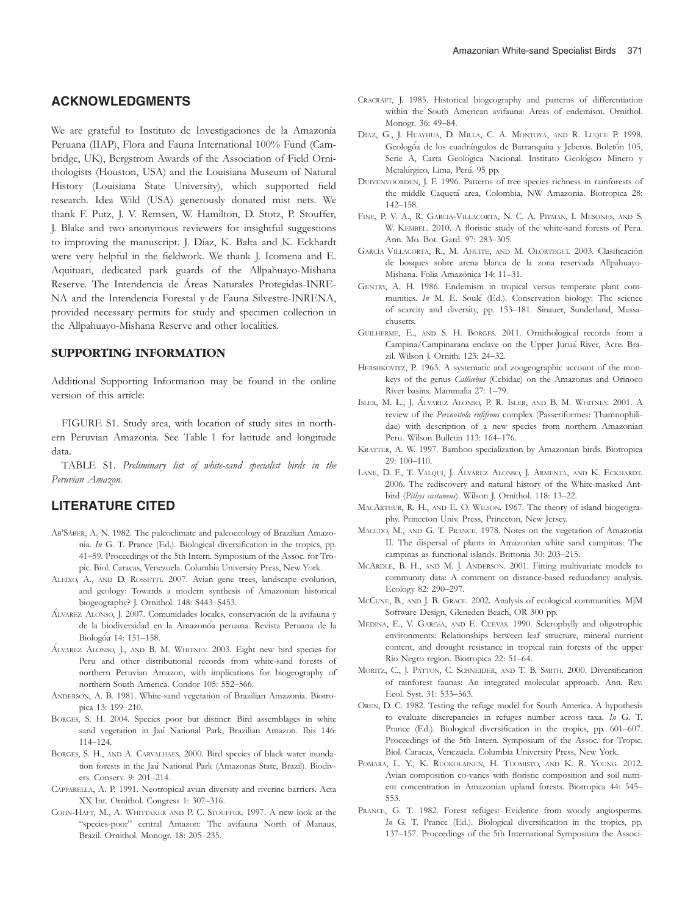# ACKNOWLEDGMENTS

We are grateful to Instituto de Investigaciones de la Amazonía Peruana (IIAP), Flora and Fauna International 100% Fund (Cambridge, UK), Bergstrom Awards of the Association of Field Ornithologists (Houston, USA) and the Louisiana Museum of Natural History (Louisiana State University), which supported field research. Idea Wild (USA) generously donated mist nets. We thank F. Putz, J. V. Remsen, W. Hamilton, D. Stotz, P. Stouffer, J. Blake and two anonymous reviewers for insightful suggestions to improving the manuscript. J. Díaz, K. Balta and K. Eckhardt were very helpful in the fieldwork. We thank J. Icomena and E. Aquituari, dedicated park guards of the Allpahuayo-Mishana Reserve. The Intendencia de Áreas Naturales Protegidas-INRE-NA and the Intendencia Forestal y de Fauna Silvestre-INRENA, provided necessary permits for study and specimen collection in the Allpahuayo-Mishana Reserve and other localities.

## SUPPORTING INFORMATION

Additional Supporting Information may be found in the online version of this article:

FIGURE S1. Study area, with location of study sites in northern Peruvian Amazonia. See Table 1 for latitude and longitude data.

TABLE S1. Preliminary list of white-sand specialist birds in the Peruvian Amazon.

# LITERATURE CITED

- AB'SÁBER, A. N. 1982. The paleoclimate and paleoecology of Brazilian Amazonia. In G. T. Prance (Ed.). Biological diversification in the tropics, pp. 41–59. Proceedings of the 5th Intern. Symposium of the Assoc. for Tropic. Biol. Caracas, Venezuela. Columbia University Press, New York.
- ALEIXO, A., AND D. ROSSETTI. 2007. Avian gene trees, landscape evolution, and geology: Towards a modern synthesis of Amazonian historical biogeography? J. Ornithol. 148: S443–S453.
- ALVAREZ ALONSO, J. 2007. Comunidades locales, conservacion de la avifauna y de la biodiversidad en la Amazonõa peruana. Revista Peruana de la Biologõa 14: 151–158.
- ALVAREZ ALONSO, J., AND B. M. WHITNEY. 2003. Eight new bird species for Peru and other distributional records from white-sand forests of northern Peruvian Amazon, with implications for biogeography of northern South America. Condor 105: 552–566.
- ANDERSON, A. B. 1981. White-sand vegetation of Brazilian Amazonia. Biotropica 13: 199–210.
- BORGES, S. H. 2004. Species poor but distinct: Bird assemblages in white sand vegetation in Jau National Park, Brazilian Amazon. Ibis 146: 114–124.
- BORGES, S. H., AND A. CARVALHAES. 2000. Bird species of black water inundation forests in the Jau National Park (Amazonas State, Brazil). Biodivers. Conserv. 9: 201–214.
- CAPPARELLA, A. P. 1991. Neotropical avian diversity and riverine barriers. Acta XX Int. Ornithol. Congress 1: 307–316.
- COHN-HAFT, M., A. WHITTAKER AND P. C. STOUFFER. 1997. A new look at the "species-poor" central Amazon: The avifauna North of Manaus, Brazil. Ornithol. Monogr. 18: 205–235.
- CRACRAFT, J. 1985. Historical biogeography and patterns of differentiation within the South American avifauna: Areas of endemism. Ornithol. Monogr. 36: 49–84.
- DÍAZ, G., J. HUAYHUA, D. MILLA, C. A. MONTOYA, AND R. LUQUE P. 1998. Geologõa de los cuadrangulos de Barranquita y Jeberos. Boletõn 105, Serie A, Carta Geológica Nacional. Instituto Geológico Minero y Metalúrgico, Lima, Perú. 95 pp.
- DUIVENVOORDEN, J. F. 1996. Patterns of tree species richness in rainforests of the middle Caquetá area, Colombia, NW Amazonia. Biotropica 28: 142–158.
- FINE, P. V. A., R. GARCIA-VILLACORTA, N. C. A. PITMAN, I. MESONES, AND S. W. KEMBEL. 2010. A floristic study of the white-sand forests of Peru. Ann. Mo. Bot. Gard. 97: 283–305.
- GARCÍA VILLACORTA, R., M. AHUITE, AND M. OLÓRTEGUI. 2003. Clasificación de bosques sobre arena blanca de la zona reservada Allpahuayo-Mishana. Folia Amazónica 14: 11–31.
- GENTRY, A. H. 1986. Endemism in tropical versus temperate plant communities. In M. E. Soule (Ed.). Conservation biology: The science of scarcity and diversity, pp. 153–181. Sinauer, Sunderland, Massachusetts.
- GUILHERME, E., AND S. H. BORGES. 2011. Ornithological records from a Campina/Campinarana enclave on the Upper Jurua River, Acre. Brazil. Wilson J. Ornith. 123: 24–32.
- HERSHKOVITZ, P. 1963. A systematic and zoogeographic account of the monkeys of the genus Callicebus (Cebidae) on the Amazonas and Orinoco River basins. Mammalia 27: 1–79.
- ISLER, M. L., J. ALVAREZ ALONSO, P. R. ISLER, AND B. M. WHITNEY. 2001. A review of the Percnostola rufifrons complex (Passeriformes: Thamnophilidae) with description of a new species from northern Amazonian Peru. Wilson Bulletin 113: 164–176.
- KRATTER, A. W. 1997. Bamboo specialization by Amazonian birds. Biotropica 29: 100–110.
- LANE, D. F., T. VALQUI, J. ALVAREZ ALONSO, J. ARMENTA, AND K. ECKHARDT. 2006. The rediscovery and natural history of the White-masked Antbird (Pithys castaneus). Wilson J. Ornithol. 118: 13–22.
- MACARTHUR, R. H., AND E. O. WILSON. 1967. The theory of island biogeography. Princeton Univ. Press, Princeton, New Jersey.
- MACEDO, M., AND G. T. PRANCE. 1978. Notes on the vegetation of Amazonia II. The dispersal of plants in Amazonian white sand campinas: The campinas as functional islands. Brittonia 30: 203–215.
- MCARDLE, B. H., AND M. J. ANDERSON. 2001. Fitting multivariate models to community data: A comment on distance-based redundancy analysis. Ecology 82: 290–297.
- MCCUNE, B., AND J. B. GRACE. 2002. Analysis of ecological communities. MjM Software Design, Gleneden Beach, OR 300 pp.
- MEDINA, E., V. GARCõA, AND E. CUEVAS. 1990. Sclerophylly and oligotrophic environments: Relationships between leaf structure, mineral nutrient content, and drought resistance in tropical rain forests of the upper Rio Negro region. Biotropica 22: 51–64.
- MORITZ, C., J. PATTON, C. SCHNEIDER, AND T. B. SMITH. 2000. Diversification of rainforest faunas: An integrated molecular approach. Ann. Rev. Ecol. Syst. 31: 533–563.
- OREN, D. C. 1982. Testing the refuge model for South America. A hypothesis to evaluate discrepancies in refuges number across taxa. In G. T. Prance (Ed.). Biological diversification in the tropics, pp. 601–607. Proceedings of the 5th Intern. Symposium of the Assoc. for Tropic. Biol. Caracas, Venezuela. Columbia University Press, New York.
- POMARA, L. Y., K. RUOKOLAINEN, H. TUOMISTO, AND K. R. YOUNG. 2012. Avian composition co-varies with floristic composition and soil nutrient concentration in Amazonian upland forests. Biotropica 44: 545– 553.
- PRANCE, G. T. 1982. Forest refuges: Evidence from woody angiosperms. In G. T. Prance (Ed.). Biological diversification in the tropics, pp. 137–157. Proceedings of the 5th International Symposium the Associ-